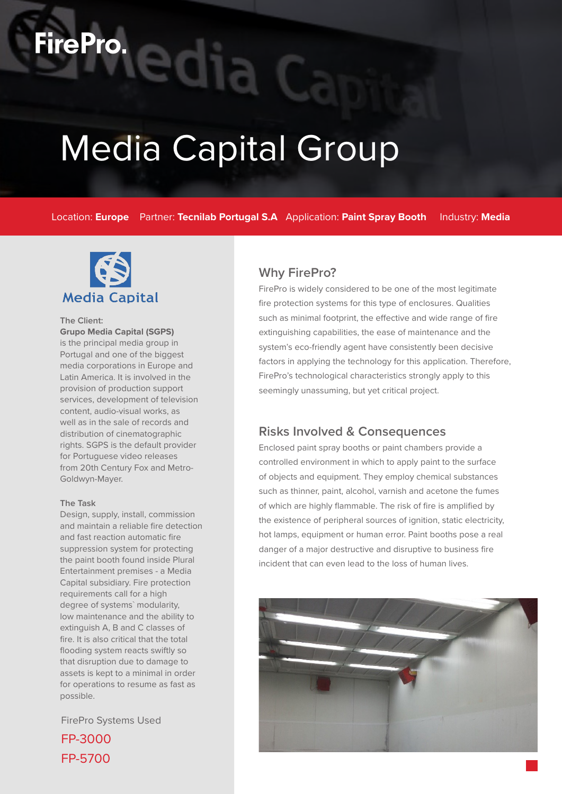# Media Capital Group

Location: **Europe** Partner: **Tecnilab Portugal S.A** Application: **Paint Spray Booth** Industry: **Media**



**FirePro.** 

**The Client: Grupo Media Capital (SGPS)**  is the principal media group in Portugal and one of the biggest media corporations in Europe and Latin America. It is involved in the provision of production support services, development of television content, audio-visual works, as well as in the sale of records and distribution of cinematographic rights. SGPS is the default provider for Portuguese video releases from 20th Century Fox and Metro-Goldwyn-Mayer.

#### **The Task**

Design, supply, install, commission and maintain a reliable fire detection and fast reaction automatic fire suppression system for protecting the paint booth found inside Plural Entertainment premises - a Media Capital subsidiary. Fire protection requirements call for a high degree of systems` modularity, low maintenance and the ability to extinguish A, B and C classes of fire. It is also critical that the total flooding system reacts swiftly so that disruption due to damage to assets is kept to a minimal in order for operations to resume as fast as possible.

FirePro Systems Used

FP-3000 FP-5700

### **Why FirePro?**

FirePro is widely considered to be one of the most legitimate fire protection systems for this type of enclosures. Qualities such as minimal footprint, the effective and wide range of fire extinguishing capabilities, the ease of maintenance and the system's eco-friendly agent have consistently been decisive factors in applying the technology for this application. Therefore, FirePro's technological characteristics strongly apply to this seemingly unassuming, but yet critical project.

#### **Risks Involved & Consequences**

Enclosed paint spray booths or paint chambers provide a controlled environment in which to apply paint to the surface of objects and equipment. They employ chemical substances such as thinner, paint, alcohol, varnish and acetone the fumes of which are highly flammable. The risk of fire is amplified by the existence of peripheral sources of ignition, static electricity, hot lamps, equipment or human error. Paint booths pose a real danger of a major destructive and disruptive to business fire incident that can even lead to the loss of human lives.